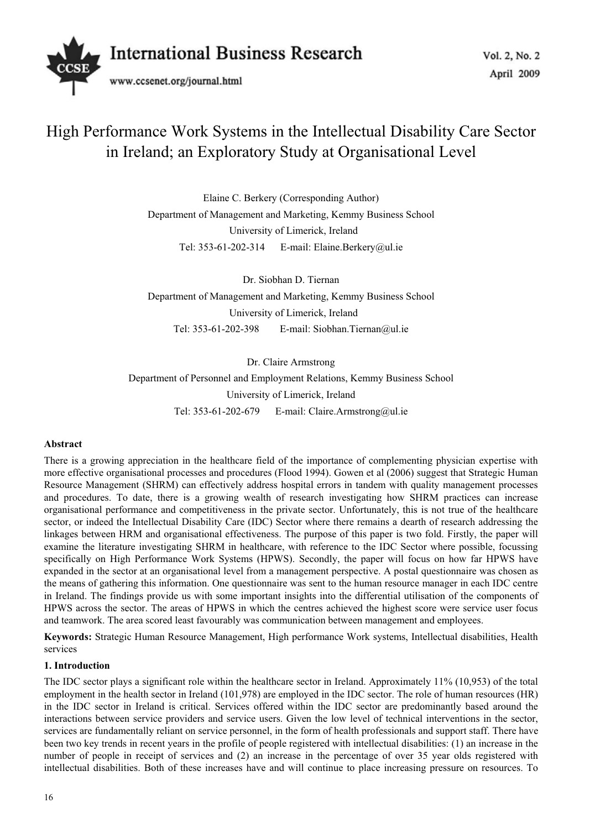

# High Performance Work Systems in the Intellectual Disability Care Sector in Ireland; an Exploratory Study at Organisational Level

Elaine C. Berkery (Corresponding Author) Department of Management and Marketing, Kemmy Business School University of Limerick, Ireland Tel: 353-61-202-314 E-mail: Elaine.Berkery@ul.ie

Dr. Siobhan D. Tiernan Department of Management and Marketing, Kemmy Business School University of Limerick, Ireland Tel: 353-61-202-398 E-mail: Siobhan.Tiernan@ul.ie

Dr. Claire Armstrong Department of Personnel and Employment Relations, Kemmy Business School University of Limerick, Ireland Tel: 353-61-202-679 E-mail: Claire.Armstrong@ul.ie

## **Abstract**

There is a growing appreciation in the healthcare field of the importance of complementing physician expertise with more effective organisational processes and procedures (Flood 1994). Gowen et al (2006) suggest that Strategic Human Resource Management (SHRM) can effectively address hospital errors in tandem with quality management processes and procedures. To date, there is a growing wealth of research investigating how SHRM practices can increase organisational performance and competitiveness in the private sector. Unfortunately, this is not true of the healthcare sector, or indeed the Intellectual Disability Care (IDC) Sector where there remains a dearth of research addressing the linkages between HRM and organisational effectiveness. The purpose of this paper is two fold. Firstly, the paper will examine the literature investigating SHRM in healthcare, with reference to the IDC Sector where possible, focussing specifically on High Performance Work Systems (HPWS). Secondly, the paper will focus on how far HPWS have expanded in the sector at an organisational level from a management perspective. A postal questionnaire was chosen as the means of gathering this information. One questionnaire was sent to the human resource manager in each IDC centre in Ireland. The findings provide us with some important insights into the differential utilisation of the components of HPWS across the sector. The areas of HPWS in which the centres achieved the highest score were service user focus and teamwork. The area scored least favourably was communication between management and employees.

**Keywords:** Strategic Human Resource Management, High performance Work systems, Intellectual disabilities, Health services

#### **1. Introduction**

The IDC sector plays a significant role within the healthcare sector in Ireland. Approximately 11% (10,953) of the total employment in the health sector in Ireland (101,978) are employed in the IDC sector. The role of human resources (HR) in the IDC sector in Ireland is critical. Services offered within the IDC sector are predominantly based around the interactions between service providers and service users. Given the low level of technical interventions in the sector, services are fundamentally reliant on service personnel, in the form of health professionals and support staff. There have been two key trends in recent years in the profile of people registered with intellectual disabilities: (1) an increase in the number of people in receipt of services and (2) an increase in the percentage of over 35 year olds registered with intellectual disabilities. Both of these increases have and will continue to place increasing pressure on resources. To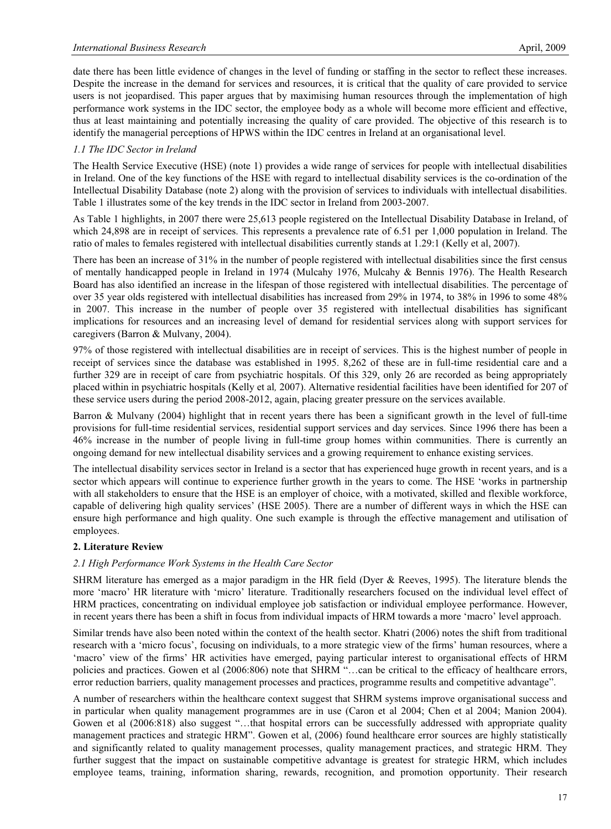date there has been little evidence of changes in the level of funding or staffing in the sector to reflect these increases. Despite the increase in the demand for services and resources, it is critical that the quality of care provided to service users is not jeopardised. This paper argues that by maximising human resources through the implementation of high performance work systems in the IDC sector, the employee body as a whole will become more efficient and effective, thus at least maintaining and potentially increasing the quality of care provided. The objective of this research is to identify the managerial perceptions of HPWS within the IDC centres in Ireland at an organisational level.

## *1.1 The IDC Sector in Ireland*

The Health Service Executive (HSE) (note 1) provides a wide range of services for people with intellectual disabilities in Ireland. One of the key functions of the HSE with regard to intellectual disability services is the co-ordination of the Intellectual Disability Database (note 2) along with the provision of services to individuals with intellectual disabilities. Table 1 illustrates some of the key trends in the IDC sector in Ireland from 2003-2007.

As Table 1 highlights, in 2007 there were 25,613 people registered on the Intellectual Disability Database in Ireland, of which 24,898 are in receipt of services. This represents a prevalence rate of 6.51 per 1,000 population in Ireland. The ratio of males to females registered with intellectual disabilities currently stands at 1.29:1 (Kelly et al, 2007).

There has been an increase of 31% in the number of people registered with intellectual disabilities since the first census of mentally handicapped people in Ireland in 1974 (Mulcahy 1976, Mulcahy & Bennis 1976). The Health Research Board has also identified an increase in the lifespan of those registered with intellectual disabilities. The percentage of over 35 year olds registered with intellectual disabilities has increased from 29% in 1974, to 38% in 1996 to some 48% in 2007. This increase in the number of people over 35 registered with intellectual disabilities has significant implications for resources and an increasing level of demand for residential services along with support services for caregivers (Barron & Mulvany, 2004).

97% of those registered with intellectual disabilities are in receipt of services. This is the highest number of people in receipt of services since the database was established in 1995. 8,262 of these are in full-time residential care and a further 329 are in receipt of care from psychiatric hospitals. Of this 329, only 26 are recorded as being appropriately placed within in psychiatric hospitals (Kelly et al*,* 2007). Alternative residential facilities have been identified for 207 of these service users during the period 2008-2012, again, placing greater pressure on the services available.

Barron & Mulvany (2004) highlight that in recent years there has been a significant growth in the level of full-time provisions for full-time residential services, residential support services and day services. Since 1996 there has been a 46% increase in the number of people living in full-time group homes within communities. There is currently an ongoing demand for new intellectual disability services and a growing requirement to enhance existing services.

The intellectual disability services sector in Ireland is a sector that has experienced huge growth in recent years, and is a sector which appears will continue to experience further growth in the years to come. The HSE 'works in partnership with all stakeholders to ensure that the HSE is an employer of choice, with a motivated, skilled and flexible workforce, capable of delivering high quality services' (HSE 2005). There are a number of different ways in which the HSE can ensure high performance and high quality. One such example is through the effective management and utilisation of employees.

## **2. Literature Review**

#### *2.1 High Performance Work Systems in the Health Care Sector*

SHRM literature has emerged as a major paradigm in the HR field (Dyer & Reeves, 1995). The literature blends the more 'macro' HR literature with 'micro' literature. Traditionally researchers focused on the individual level effect of HRM practices, concentrating on individual employee job satisfaction or individual employee performance. However, in recent years there has been a shift in focus from individual impacts of HRM towards a more 'macro' level approach.

Similar trends have also been noted within the context of the health sector. Khatri (2006) notes the shift from traditional research with a 'micro focus', focusing on individuals, to a more strategic view of the firms' human resources, where a 'macro' view of the firms' HR activities have emerged, paying particular interest to organisational effects of HRM policies and practices. Gowen et al (2006:806) note that SHRM "…can be critical to the efficacy of healthcare errors, error reduction barriers, quality management processes and practices, programme results and competitive advantage".

A number of researchers within the healthcare context suggest that SHRM systems improve organisational success and in particular when quality management programmes are in use (Caron et al 2004; Chen et al 2004; Manion 2004). Gowen et al (2006:818) also suggest "...that hospital errors can be successfully addressed with appropriate quality management practices and strategic HRM". Gowen et al, (2006) found healthcare error sources are highly statistically and significantly related to quality management processes, quality management practices, and strategic HRM. They further suggest that the impact on sustainable competitive advantage is greatest for strategic HRM, which includes employee teams, training, information sharing, rewards, recognition, and promotion opportunity. Their research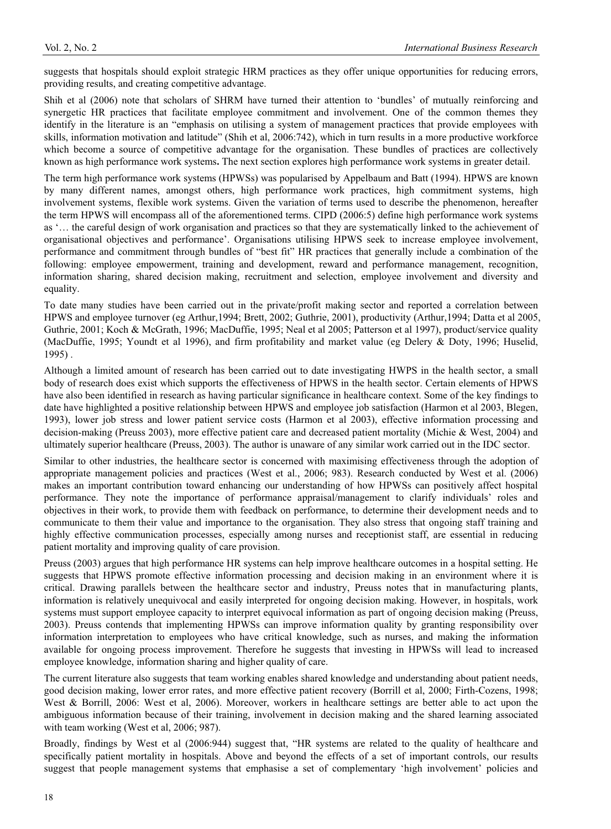suggests that hospitals should exploit strategic HRM practices as they offer unique opportunities for reducing errors, providing results, and creating competitive advantage.

Shih et al (2006) note that scholars of SHRM have turned their attention to 'bundles' of mutually reinforcing and synergetic HR practices that facilitate employee commitment and involvement. One of the common themes they identify in the literature is an "emphasis on utilising a system of management practices that provide employees with skills, information motivation and latitude" (Shih et al, 2006:742), which in turn results in a more productive workforce which become a source of competitive advantage for the organisation. These bundles of practices are collectively known as high performance work systems**.** The next section explores high performance work systems in greater detail.

The term high performance work systems (HPWSs) was popularised by Appelbaum and Batt (1994). HPWS are known by many different names, amongst others, high performance work practices, high commitment systems, high involvement systems, flexible work systems. Given the variation of terms used to describe the phenomenon, hereafter the term HPWS will encompass all of the aforementioned terms. CIPD (2006:5) define high performance work systems as '… the careful design of work organisation and practices so that they are systematically linked to the achievement of organisational objectives and performance'. Organisations utilising HPWS seek to increase employee involvement, performance and commitment through bundles of "best fit" HR practices that generally include a combination of the following: employee empowerment, training and development, reward and performance management, recognition, information sharing, shared decision making, recruitment and selection, employee involvement and diversity and equality.

To date many studies have been carried out in the private/profit making sector and reported a correlation between HPWS and employee turnover (eg Arthur,1994; Brett, 2002; Guthrie, 2001), productivity (Arthur,1994; Datta et al 2005, Guthrie, 2001; Koch & McGrath, 1996; MacDuffie, 1995; Neal et al 2005; Patterson et al 1997), product/service quality (MacDuffie, 1995; Youndt et al 1996), and firm profitability and market value (eg Delery & Doty, 1996; Huselid, 1995) .

Although a limited amount of research has been carried out to date investigating HWPS in the health sector, a small body of research does exist which supports the effectiveness of HPWS in the health sector. Certain elements of HPWS have also been identified in research as having particular significance in healthcare context. Some of the key findings to date have highlighted a positive relationship between HPWS and employee job satisfaction (Harmon et al 2003, Blegen, 1993), lower job stress and lower patient service costs (Harmon et al 2003), effective information processing and decision-making (Preuss 2003), more effective patient care and decreased patient mortality (Michie & West, 2004) and ultimately superior healthcare (Preuss, 2003). The author is unaware of any similar work carried out in the IDC sector.

Similar to other industries, the healthcare sector is concerned with maximising effectiveness through the adoption of appropriate management policies and practices (West et al., 2006; 983). Research conducted by West et al. (2006) makes an important contribution toward enhancing our understanding of how HPWSs can positively affect hospital performance. They note the importance of performance appraisal/management to clarify individuals' roles and objectives in their work, to provide them with feedback on performance, to determine their development needs and to communicate to them their value and importance to the organisation. They also stress that ongoing staff training and highly effective communication processes, especially among nurses and receptionist staff, are essential in reducing patient mortality and improving quality of care provision.

Preuss (2003) argues that high performance HR systems can help improve healthcare outcomes in a hospital setting. He suggests that HPWS promote effective information processing and decision making in an environment where it is critical. Drawing parallels between the healthcare sector and industry, Preuss notes that in manufacturing plants, information is relatively unequivocal and easily interpreted for ongoing decision making. However, in hospitals, work systems must support employee capacity to interpret equivocal information as part of ongoing decision making (Preuss, 2003). Preuss contends that implementing HPWSs can improve information quality by granting responsibility over information interpretation to employees who have critical knowledge, such as nurses, and making the information available for ongoing process improvement. Therefore he suggests that investing in HPWSs will lead to increased employee knowledge, information sharing and higher quality of care.

The current literature also suggests that team working enables shared knowledge and understanding about patient needs, good decision making, lower error rates, and more effective patient recovery (Borrill et al, 2000; Firth-Cozens, 1998; West & Borrill, 2006: West et al, 2006). Moreover, workers in healthcare settings are better able to act upon the ambiguous information because of their training, involvement in decision making and the shared learning associated with team working (West et al, 2006; 987).

Broadly, findings by West et al (2006:944) suggest that, "HR systems are related to the quality of healthcare and specifically patient mortality in hospitals. Above and beyond the effects of a set of important controls, our results suggest that people management systems that emphasise a set of complementary 'high involvement' policies and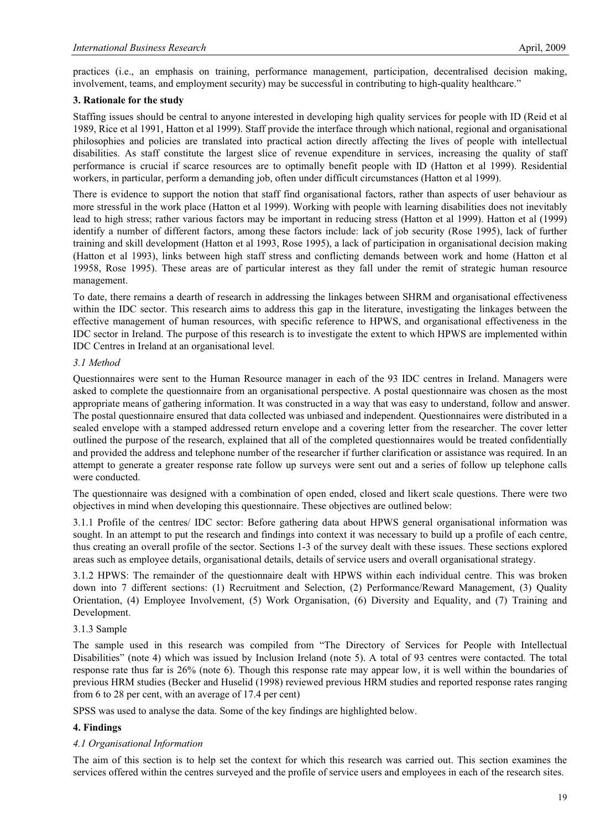practices (i.e., an emphasis on training, performance management, participation, decentralised decision making, involvement, teams, and employment security) may be successful in contributing to high-quality healthcare."

#### **3. Rationale for the study**

Staffing issues should be central to anyone interested in developing high quality services for people with ID (Reid et al 1989, Rice et al 1991, Hatton et al 1999). Staff provide the interface through which national, regional and organisational philosophies and policies are translated into practical action directly affecting the lives of people with intellectual disabilities. As staff constitute the largest slice of revenue expenditure in services, increasing the quality of staff performance is crucial if scarce resources are to optimally benefit people with ID (Hatton et al 1999). Residential workers, in particular, perform a demanding job, often under difficult circumstances (Hatton et al 1999).

There is evidence to support the notion that staff find organisational factors, rather than aspects of user behaviour as more stressful in the work place (Hatton et al 1999). Working with people with learning disabilities does not inevitably lead to high stress; rather various factors may be important in reducing stress (Hatton et al 1999). Hatton et al (1999) identify a number of different factors, among these factors include: lack of job security (Rose 1995), lack of further training and skill development (Hatton et al 1993, Rose 1995), a lack of participation in organisational decision making (Hatton et al 1993), links between high staff stress and conflicting demands between work and home (Hatton et al 19958, Rose 1995). These areas are of particular interest as they fall under the remit of strategic human resource management.

To date, there remains a dearth of research in addressing the linkages between SHRM and organisational effectiveness within the IDC sector. This research aims to address this gap in the literature, investigating the linkages between the effective management of human resources, with specific reference to HPWS, and organisational effectiveness in the IDC sector in Ireland. The purpose of this research is to investigate the extent to which HPWS are implemented within IDC Centres in Ireland at an organisational level.

#### *3.1 Method*

Questionnaires were sent to the Human Resource manager in each of the 93 IDC centres in Ireland. Managers were asked to complete the questionnaire from an organisational perspective. A postal questionnaire was chosen as the most appropriate means of gathering information. It was constructed in a way that was easy to understand, follow and answer. The postal questionnaire ensured that data collected was unbiased and independent. Questionnaires were distributed in a sealed envelope with a stamped addressed return envelope and a covering letter from the researcher. The cover letter outlined the purpose of the research, explained that all of the completed questionnaires would be treated confidentially and provided the address and telephone number of the researcher if further clarification or assistance was required. In an attempt to generate a greater response rate follow up surveys were sent out and a series of follow up telephone calls were conducted.

The questionnaire was designed with a combination of open ended, closed and likert scale questions. There were two objectives in mind when developing this questionnaire. These objectives are outlined below:

3.1.1 Profile of the centres/ IDC sector: Before gathering data about HPWS general organisational information was sought. In an attempt to put the research and findings into context it was necessary to build up a profile of each centre, thus creating an overall profile of the sector. Sections 1-3 of the survey dealt with these issues. These sections explored areas such as employee details, organisational details, details of service users and overall organisational strategy.

3.1.2 HPWS: The remainder of the questionnaire dealt with HPWS within each individual centre. This was broken down into 7 different sections: (1) Recruitment and Selection, (2) Performance/Reward Management, (3) Quality Orientation, (4) Employee Involvement, (5) Work Organisation, (6) Diversity and Equality, and (7) Training and Development.

## 3.1.3 Sample

The sample used in this research was compiled from "The Directory of Services for People with Intellectual Disabilities" (note 4) which was issued by Inclusion Ireland (note 5). A total of 93 centres were contacted. The total response rate thus far is 26% (note 6). Though this response rate may appear low, it is well within the boundaries of previous HRM studies (Becker and Huselid (1998) reviewed previous HRM studies and reported response rates ranging from 6 to 28 per cent, with an average of 17.4 per cent)

SPSS was used to analyse the data. Some of the key findings are highlighted below.

## **4. Findings**

#### *4.1 Organisational Information*

The aim of this section is to help set the context for which this research was carried out. This section examines the services offered within the centres surveyed and the profile of service users and employees in each of the research sites.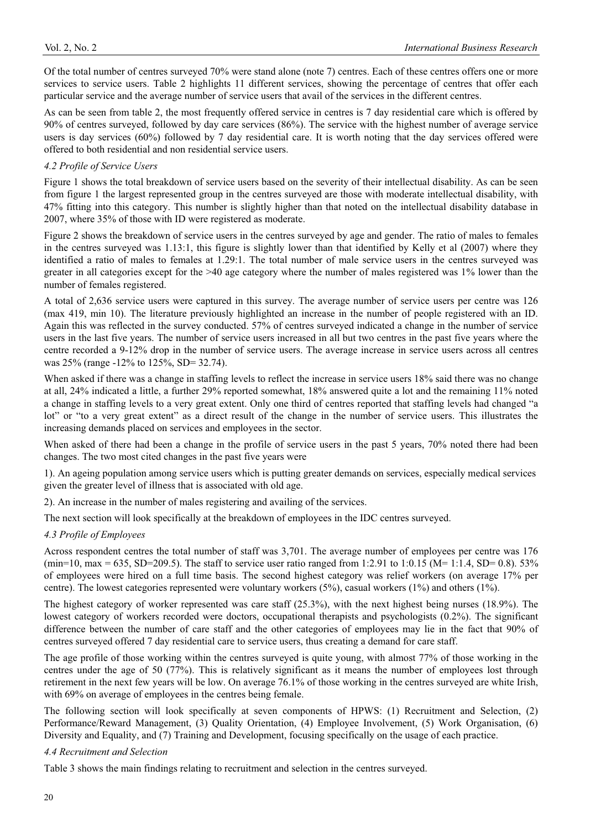Of the total number of centres surveyed 70% were stand alone (note 7) centres. Each of these centres offers one or more services to service users. Table 2 highlights 11 different services, showing the percentage of centres that offer each particular service and the average number of service users that avail of the services in the different centres.

As can be seen from table 2, the most frequently offered service in centres is 7 day residential care which is offered by 90% of centres surveyed, followed by day care services (86%). The service with the highest number of average service users is day services (60%) followed by 7 day residential care. It is worth noting that the day services offered were offered to both residential and non residential service users.

## *4.2 Profile of Service Users*

Figure 1 shows the total breakdown of service users based on the severity of their intellectual disability. As can be seen from figure 1 the largest represented group in the centres surveyed are those with moderate intellectual disability, with 47% fitting into this category. This number is slightly higher than that noted on the intellectual disability database in 2007, where 35% of those with ID were registered as moderate.

Figure 2 shows the breakdown of service users in the centres surveyed by age and gender. The ratio of males to females in the centres surveyed was 1.13:1, this figure is slightly lower than that identified by Kelly et al (2007) where they identified a ratio of males to females at 1.29:1. The total number of male service users in the centres surveyed was greater in all categories except for the >40 age category where the number of males registered was 1% lower than the number of females registered.

A total of 2,636 service users were captured in this survey. The average number of service users per centre was 126 (max 419, min 10). The literature previously highlighted an increase in the number of people registered with an ID. Again this was reflected in the survey conducted. 57% of centres surveyed indicated a change in the number of service users in the last five years. The number of service users increased in all but two centres in the past five years where the centre recorded a 9-12% drop in the number of service users. The average increase in service users across all centres was 25% (range -12% to 125%, SD= 32.74).

When asked if there was a change in staffing levels to reflect the increase in service users 18% said there was no change at all, 24% indicated a little, a further 29% reported somewhat, 18% answered quite a lot and the remaining 11% noted a change in staffing levels to a very great extent. Only one third of centres reported that staffing levels had changed "a lot" or "to a very great extent" as a direct result of the change in the number of service users. This illustrates the increasing demands placed on services and employees in the sector.

When asked of there had been a change in the profile of service users in the past 5 years, 70% noted there had been changes. The two most cited changes in the past five years were

1). An ageing population among service users which is putting greater demands on services, especially medical services given the greater level of illness that is associated with old age.

2). An increase in the number of males registering and availing of the services.

The next section will look specifically at the breakdown of employees in the IDC centres surveyed.

## *4.3 Profile of Employees*

Across respondent centres the total number of staff was 3,701. The average number of employees per centre was 176 (min=10, max = 635, SD=209.5). The staff to service user ratio ranged from 1:2.91 to 1:0.15 (M= 1:1.4, SD= 0.8). 53% of employees were hired on a full time basis. The second highest category was relief workers (on average 17% per centre). The lowest categories represented were voluntary workers (5%), casual workers (1%) and others (1%).

The highest category of worker represented was care staff (25.3%), with the next highest being nurses (18.9%). The lowest category of workers recorded were doctors, occupational therapists and psychologists (0.2%). The significant difference between the number of care staff and the other categories of employees may lie in the fact that 90% of centres surveyed offered 7 day residential care to service users, thus creating a demand for care staff.

The age profile of those working within the centres surveyed is quite young, with almost 77% of those working in the centres under the age of 50 (77%). This is relatively significant as it means the number of employees lost through retirement in the next few years will be low. On average 76.1% of those working in the centres surveyed are white Irish, with 69% on average of employees in the centres being female.

The following section will look specifically at seven components of HPWS: (1) Recruitment and Selection, (2) Performance/Reward Management, (3) Quality Orientation, (4) Employee Involvement, (5) Work Organisation, (6) Diversity and Equality, and (7) Training and Development, focusing specifically on the usage of each practice.

## *4.4 Recruitment and Selection*

Table 3 shows the main findings relating to recruitment and selection in the centres surveyed.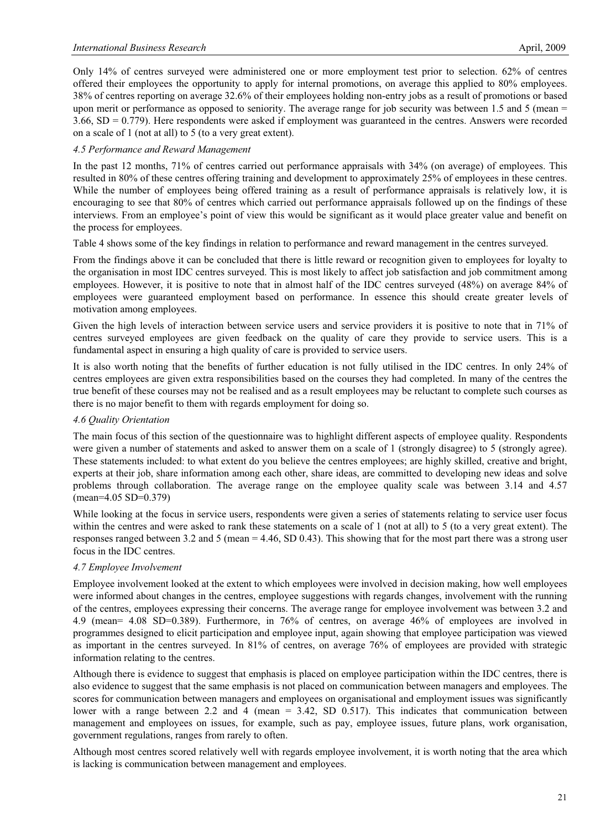Only 14% of centres surveyed were administered one or more employment test prior to selection. 62% of centres offered their employees the opportunity to apply for internal promotions, on average this applied to 80% employees. 38% of centres reporting on average 32.6% of their employees holding non-entry jobs as a result of promotions or based upon merit or performance as opposed to seniority. The average range for job security was between 1.5 and 5 (mean  $=$  $3.66$ ,  $SD = 0.779$ ). Here respondents were asked if employment was guaranteed in the centres. Answers were recorded on a scale of 1 (not at all) to 5 (to a very great extent).

## *4.5 Performance and Reward Management*

In the past 12 months, 71% of centres carried out performance appraisals with 34% (on average) of employees. This resulted in 80% of these centres offering training and development to approximately 25% of employees in these centres. While the number of employees being offered training as a result of performance appraisals is relatively low, it is encouraging to see that 80% of centres which carried out performance appraisals followed up on the findings of these interviews. From an employee's point of view this would be significant as it would place greater value and benefit on the process for employees.

Table 4 shows some of the key findings in relation to performance and reward management in the centres surveyed.

From the findings above it can be concluded that there is little reward or recognition given to employees for loyalty to the organisation in most IDC centres surveyed. This is most likely to affect job satisfaction and job commitment among employees. However, it is positive to note that in almost half of the IDC centres surveyed (48%) on average 84% of employees were guaranteed employment based on performance. In essence this should create greater levels of motivation among employees.

Given the high levels of interaction between service users and service providers it is positive to note that in 71% of centres surveyed employees are given feedback on the quality of care they provide to service users. This is a fundamental aspect in ensuring a high quality of care is provided to service users.

It is also worth noting that the benefits of further education is not fully utilised in the IDC centres. In only 24% of centres employees are given extra responsibilities based on the courses they had completed. In many of the centres the true benefit of these courses may not be realised and as a result employees may be reluctant to complete such courses as there is no major benefit to them with regards employment for doing so.

## *4.6 Quality Orientation*

The main focus of this section of the questionnaire was to highlight different aspects of employee quality. Respondents were given a number of statements and asked to answer them on a scale of 1 (strongly disagree) to 5 (strongly agree). These statements included: to what extent do you believe the centres employees; are highly skilled, creative and bright, experts at their job, share information among each other, share ideas, are committed to developing new ideas and solve problems through collaboration. The average range on the employee quality scale was between 3.14 and 4.57 (mean=4.05 SD=0.379)

While looking at the focus in service users, respondents were given a series of statements relating to service user focus within the centres and were asked to rank these statements on a scale of 1 (not at all) to 5 (to a very great extent). The responses ranged between 3.2 and 5 (mean = 4.46, SD 0.43). This showing that for the most part there was a strong user focus in the IDC centres.

## *4.7 Employee Involvement*

Employee involvement looked at the extent to which employees were involved in decision making, how well employees were informed about changes in the centres, employee suggestions with regards changes, involvement with the running of the centres, employees expressing their concerns. The average range for employee involvement was between 3.2 and 4.9 (mean= 4.08 SD=0.389). Furthermore, in 76% of centres, on average 46% of employees are involved in programmes designed to elicit participation and employee input, again showing that employee participation was viewed as important in the centres surveyed. In 81% of centres, on average 76% of employees are provided with strategic information relating to the centres.

Although there is evidence to suggest that emphasis is placed on employee participation within the IDC centres, there is also evidence to suggest that the same emphasis is not placed on communication between managers and employees. The scores for communication between managers and employees on organisational and employment issues was significantly lower with a range between 2.2 and 4 (mean  $= 3.42$ , SD 0.517). This indicates that communication between management and employees on issues, for example, such as pay, employee issues, future plans, work organisation, government regulations, ranges from rarely to often.

Although most centres scored relatively well with regards employee involvement, it is worth noting that the area which is lacking is communication between management and employees.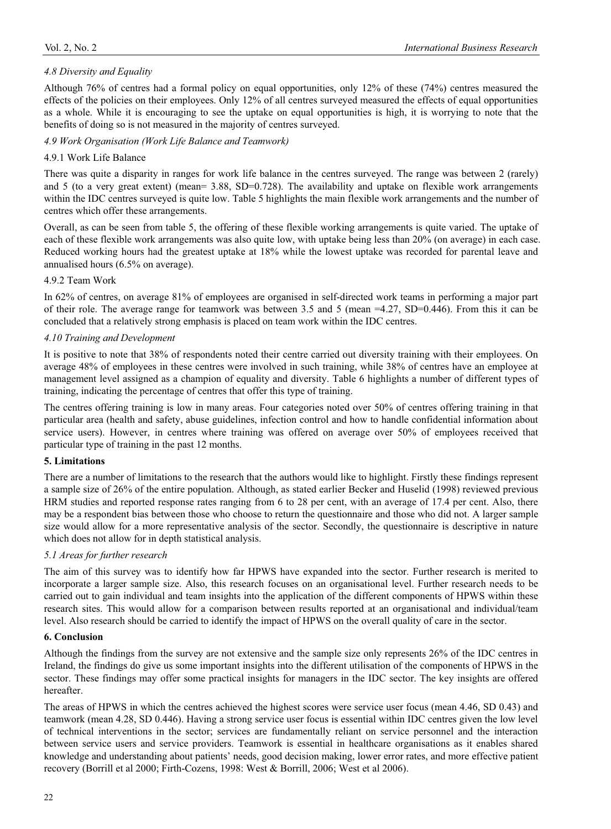# *4.8 Diversity and Equality*

Although 76% of centres had a formal policy on equal opportunities, only 12% of these (74%) centres measured the effects of the policies on their employees. Only 12% of all centres surveyed measured the effects of equal opportunities as a whole. While it is encouraging to see the uptake on equal opportunities is high, it is worrying to note that the benefits of doing so is not measured in the majority of centres surveyed.

*4.9 Work Organisation (Work Life Balance and Teamwork)* 

# 4.9.1 Work Life Balance

There was quite a disparity in ranges for work life balance in the centres surveyed. The range was between 2 (rarely) and 5 (to a very great extent) (mean=  $3.88$ , SD=0.728). The availability and uptake on flexible work arrangements within the IDC centres surveyed is quite low. Table 5 highlights the main flexible work arrangements and the number of centres which offer these arrangements.

Overall, as can be seen from table 5, the offering of these flexible working arrangements is quite varied. The uptake of each of these flexible work arrangements was also quite low, with uptake being less than 20% (on average) in each case. Reduced working hours had the greatest uptake at 18% while the lowest uptake was recorded for parental leave and annualised hours (6.5% on average).

#### 4.9.2 Team Work

In 62% of centres, on average 81% of employees are organised in self-directed work teams in performing a major part of their role. The average range for teamwork was between 3.5 and 5 (mean =4.27, SD=0.446). From this it can be concluded that a relatively strong emphasis is placed on team work within the IDC centres.

## *4.10 Training and Development*

It is positive to note that 38% of respondents noted their centre carried out diversity training with their employees. On average 48% of employees in these centres were involved in such training, while 38% of centres have an employee at management level assigned as a champion of equality and diversity. Table 6 highlights a number of different types of training, indicating the percentage of centres that offer this type of training.

The centres offering training is low in many areas. Four categories noted over 50% of centres offering training in that particular area (health and safety, abuse guidelines, infection control and how to handle confidential information about service users). However, in centres where training was offered on average over 50% of employees received that particular type of training in the past 12 months.

#### **5. Limitations**

There are a number of limitations to the research that the authors would like to highlight. Firstly these findings represent a sample size of 26% of the entire population. Although, as stated earlier Becker and Huselid (1998) reviewed previous HRM studies and reported response rates ranging from 6 to 28 per cent, with an average of 17.4 per cent. Also, there may be a respondent bias between those who choose to return the questionnaire and those who did not. A larger sample size would allow for a more representative analysis of the sector. Secondly, the questionnaire is descriptive in nature which does not allow for in depth statistical analysis.

## *5.1 Areas for further research*

The aim of this survey was to identify how far HPWS have expanded into the sector. Further research is merited to incorporate a larger sample size. Also, this research focuses on an organisational level. Further research needs to be carried out to gain individual and team insights into the application of the different components of HPWS within these research sites. This would allow for a comparison between results reported at an organisational and individual/team level. Also research should be carried to identify the impact of HPWS on the overall quality of care in the sector.

## **6. Conclusion**

Although the findings from the survey are not extensive and the sample size only represents 26% of the IDC centres in Ireland, the findings do give us some important insights into the different utilisation of the components of HPWS in the sector. These findings may offer some practical insights for managers in the IDC sector. The key insights are offered hereafter.

The areas of HPWS in which the centres achieved the highest scores were service user focus (mean 4.46, SD 0.43) and teamwork (mean 4.28, SD 0.446). Having a strong service user focus is essential within IDC centres given the low level of technical interventions in the sector; services are fundamentally reliant on service personnel and the interaction between service users and service providers. Teamwork is essential in healthcare organisations as it enables shared knowledge and understanding about patients' needs, good decision making, lower error rates, and more effective patient recovery (Borrill et al 2000; Firth-Cozens, 1998: West & Borrill, 2006; West et al 2006).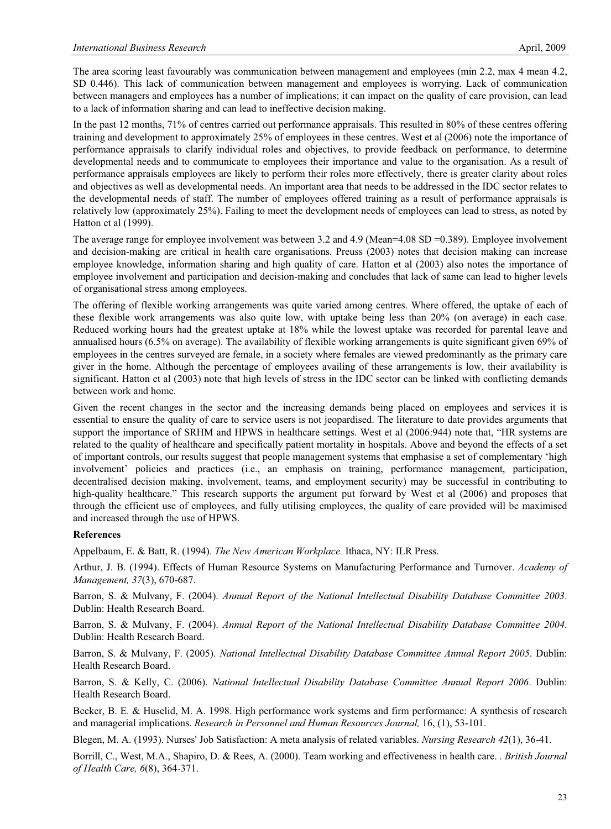The area scoring least favourably was communication between management and employees (min 2.2, max 4 mean 4.2, SD 0.446). This lack of communication between management and employees is worrying. Lack of communication between managers and employees has a number of implications; it can impact on the quality of care provision, can lead to a lack of information sharing and can lead to ineffective decision making.

In the past 12 months, 71% of centres carried out performance appraisals. This resulted in 80% of these centres offering training and development to approximately 25% of employees in these centres. West et al (2006) note the importance of performance appraisals to clarify individual roles and objectives, to provide feedback on performance, to determine developmental needs and to communicate to employees their importance and value to the organisation. As a result of performance appraisals employees are likely to perform their roles more effectively, there is greater clarity about roles and objectives as well as developmental needs. An important area that needs to be addressed in the IDC sector relates to the developmental needs of staff. The number of employees offered training as a result of performance appraisals is relatively low (approximately 25%). Failing to meet the development needs of employees can lead to stress, as noted by Hatton et al (1999).

The average range for employee involvement was between 3.2 and 4.9 (Mean=4.08 SD =0.389). Employee involvement and decision-making are critical in health care organisations. Preuss (2003) notes that decision making can increase employee knowledge, information sharing and high quality of care. Hatton et al (2003) also notes the importance of employee involvement and participation and decision-making and concludes that lack of same can lead to higher levels of organisational stress among employees.

The offering of flexible working arrangements was quite varied among centres. Where offered, the uptake of each of these flexible work arrangements was also quite low, with uptake being less than 20% (on average) in each case. Reduced working hours had the greatest uptake at 18% while the lowest uptake was recorded for parental leave and annualised hours (6.5% on average). The availability of flexible working arrangements is quite significant given 69% of employees in the centres surveyed are female, in a society where females are viewed predominantly as the primary care giver in the home. Although the percentage of employees availing of these arrangements is low, their availability is significant. Hatton et al (2003) note that high levels of stress in the IDC sector can be linked with conflicting demands between work and home.

Given the recent changes in the sector and the increasing demands being placed on employees and services it is essential to ensure the quality of care to service users is not jeopardised. The literature to date provides arguments that support the importance of SRHM and HPWS in healthcare settings. West et al (2006:944) note that, "HR systems are related to the quality of healthcare and specifically patient mortality in hospitals. Above and beyond the effects of a set of important controls, our results suggest that people management systems that emphasise a set of complementary 'high involvement' policies and practices (i.e., an emphasis on training, performance management, participation, decentralised decision making, involvement, teams, and employment security) may be successful in contributing to high-quality healthcare." This research supports the argument put forward by West et al (2006) and proposes that through the efficient use of employees, and fully utilising employees, the quality of care provided will be maximised and increased through the use of HPWS.

#### **References**

Appelbaum, E. & Batt, R. (1994). *The New American Workplace.* Ithaca, NY: ILR Press.

Arthur, J. B. (1994). Effects of Human Resource Systems on Manufacturing Performance and Turnover. *Academy of Management, 37*(3), 670-687.

Barron, S. & Mulvany, F. (2004). *Annual Report of the National Intellectual Disability Database Committee 2003*. Dublin: Health Research Board.

Barron, S. & Mulvany, F. (2004). *Annual Report of the National Intellectual Disability Database Committee 2004*. Dublin: Health Research Board.

Barron, S. & Mulvany, F. (2005). *National Intellectual Disability Database Committee Annual Report 2005*. Dublin: Health Research Board.

Barron, S. & Kelly, C. (2006). *National Intellectual Disability Database Committee Annual Report 2006*. Dublin: Health Research Board.

Becker, B. E. & Huselid, M. A. 1998. High performance work systems and firm performance: A synthesis of research and managerial implications. *Research in Personnel and Human Resources Journal,* 16, (1), 53-101.

Blegen, M. A. (1993). Nurses' Job Satisfaction: A meta analysis of related variables. *Nursing Research 42*(1), 36-41.

Borrill, C., West, M.A., Shapiro, D. & Rees, A. (2000). Team working and effectiveness in health care. . *British Journal of Health Care, 6*(8), 364-371.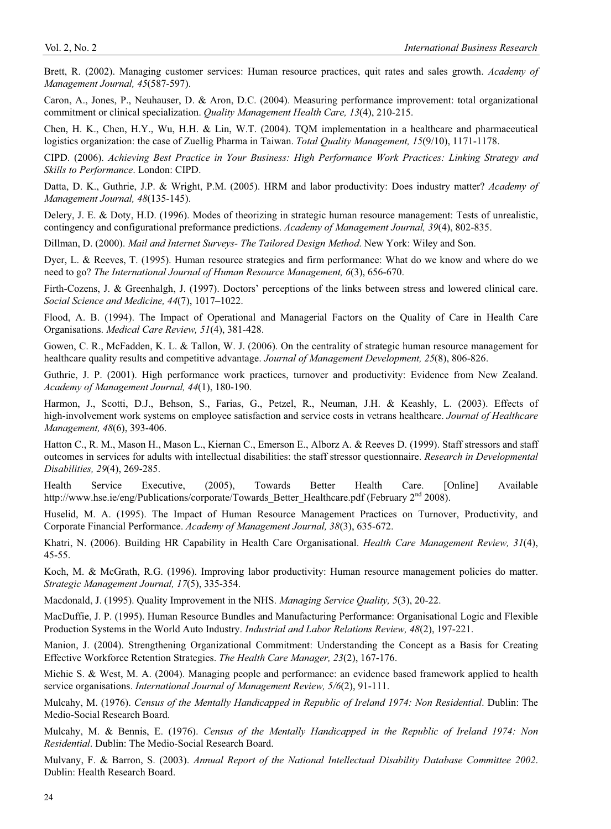Brett, R. (2002). Managing customer services: Human resource practices, quit rates and sales growth. *Academy of Management Journal, 45*(587-597).

Caron, A., Jones, P., Neuhauser, D. & Aron, D.C. (2004). Measuring performance improvement: total organizational commitment or clinical specialization. *Quality Management Health Care, 13*(4), 210-215.

Chen, H. K., Chen, H.Y., Wu, H.H. & Lin, W.T. (2004). TQM implementation in a healthcare and pharmaceutical logistics organization: the case of Zuellig Pharma in Taiwan. *Total Quality Management, 15*(9/10), 1171-1178.

CIPD. (2006). *Achieving Best Practice in Your Business: High Performance Work Practices: Linking Strategy and Skills to Performance*. London: CIPD.

Datta, D. K., Guthrie, J.P. & Wright, P.M. (2005). HRM and labor productivity: Does industry matter? *Academy of Management Journal, 48*(135-145).

Delery, J. E. & Doty, H.D. (1996). Modes of theorizing in strategic human resource management: Tests of unrealistic, contingency and configurational preformance predictions. *Academy of Management Journal, 39*(4), 802-835.

Dillman, D. (2000). *Mail and Internet Surveys- The Tailored Design Method*. New York: Wiley and Son.

Dyer, L. & Reeves, T. (1995). Human resource strategies and firm performance: What do we know and where do we need to go? *The International Journal of Human Resource Management, 6*(3), 656-670.

Firth-Cozens, J. & Greenhalgh, J. (1997). Doctors' perceptions of the links between stress and lowered clinical care. *Social Science and Medicine, 44*(7), 1017–1022.

Flood, A. B. (1994). The Impact of Operational and Managerial Factors on the Quality of Care in Health Care Organisations. *Medical Care Review, 51*(4), 381-428.

Gowen, C. R., McFadden, K. L. & Tallon, W. J. (2006). On the centrality of strategic human resource management for healthcare quality results and competitive advantage. *Journal of Management Development, 25*(8), 806-826.

Guthrie, J. P. (2001). High performance work practices, turnover and productivity: Evidence from New Zealand. *Academy of Management Journal, 44*(1), 180-190.

Harmon, J., Scotti, D.J., Behson, S., Farias, G., Petzel, R., Neuman, J.H. & Keashly, L. (2003). Effects of high-involvement work systems on employee satisfaction and service costs in vetrans healthcare. *Journal of Healthcare Management, 48*(6), 393-406.

Hatton C., R. M., Mason H., Mason L., Kiernan C., Emerson E., Alborz A. & Reeves D. (1999). Staff stressors and staff outcomes in services for adults with intellectual disabilities: the staff stressor questionnaire. *Research in Developmental Disabilities, 29*(4), 269-285.

Health Service Executive, (2005), Towards Better Health Care. [Online] Available http://www.hse.ie/eng/Publications/corporate/Towards Better Healthcare.pdf (February 2<sup>nd</sup> 2008).

Huselid, M. A. (1995). The Impact of Human Resource Management Practices on Turnover, Productivity, and Corporate Financial Performance. *Academy of Management Journal, 38*(3), 635-672.

Khatri, N. (2006). Building HR Capability in Health Care Organisational. *Health Care Management Review, 31*(4), 45-55.

Koch, M. & McGrath, R.G. (1996). Improving labor productivity: Human resource management policies do matter. *Strategic Management Journal, 17*(5), 335-354.

Macdonald, J. (1995). Quality Improvement in the NHS. *Managing Service Quality, 5*(3), 20-22.

MacDuffie, J. P. (1995). Human Resource Bundles and Manufacturing Performance: Organisational Logic and Flexible Production Systems in the World Auto Industry. *Industrial and Labor Relations Review, 48*(2), 197-221.

Manion, J. (2004). Strengthening Organizational Commitment: Understanding the Concept as a Basis for Creating Effective Workforce Retention Strategies. *The Health Care Manager, 23*(2), 167-176.

Michie S. & West, M. A. (2004). Managing people and performance: an evidence based framework applied to health service organisations. *International Journal of Management Review, 5/6*(2), 91-111.

Mulcahy, M. (1976). *Census of the Mentally Handicapped in Republic of Ireland 1974: Non Residential*. Dublin: The Medio-Social Research Board.

Mulcahy, M. & Bennis, E. (1976). *Census of the Mentally Handicapped in the Republic of Ireland 1974: Non Residential*. Dublin: The Medio-Social Research Board.

Mulvany, F. & Barron, S. (2003). *Annual Report of the National Intellectual Disability Database Committee 2002*. Dublin: Health Research Board.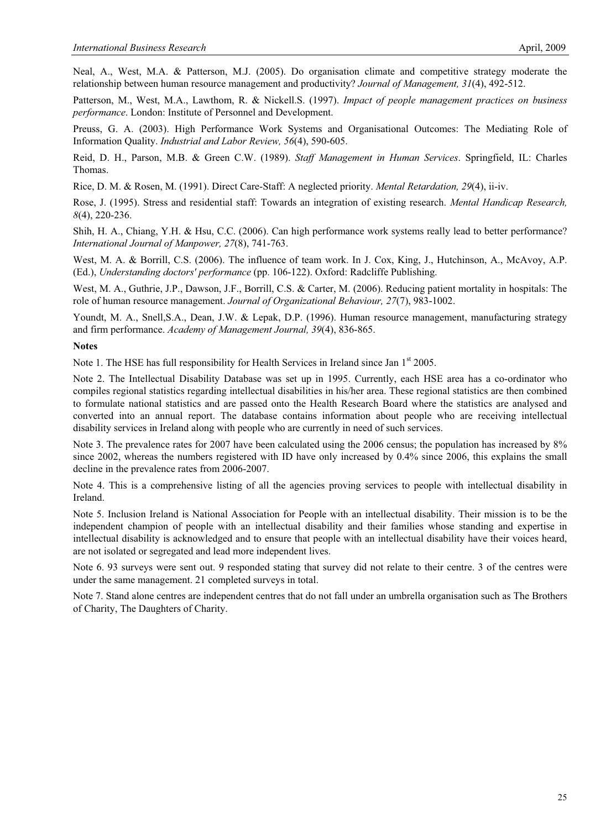Neal, A., West, M.A. & Patterson, M.J. (2005). Do organisation climate and competitive strategy moderate the relationship between human resource management and productivity? *Journal of Management, 31*(4), 492-512.

Patterson, M., West, M.A., Lawthom, R. & Nickell.S. (1997). *Impact of people management practices on business performance*. London: Institute of Personnel and Development.

Preuss, G. A. (2003). High Performance Work Systems and Organisational Outcomes: The Mediating Role of Information Quality. *Industrial and Labor Review, 56*(4), 590-605.

Reid, D. H., Parson, M.B. & Green C.W. (1989). *Staff Management in Human Services*. Springfield, IL: Charles Thomas.

Rice, D. M. & Rosen, M. (1991). Direct Care-Staff: A neglected priority. *Mental Retardation, 29*(4), ii-iv.

Rose, J. (1995). Stress and residential staff: Towards an integration of existing research. *Mental Handicap Research, 8*(4), 220-236.

Shih, H. A., Chiang, Y.H. & Hsu, C.C. (2006). Can high performance work systems really lead to better performance? *International Journal of Manpower, 27*(8), 741-763.

West, M. A. & Borrill, C.S. (2006). The influence of team work. In J. Cox, King, J., Hutchinson, A., McAvoy, A.P. (Ed.), *Understanding doctors' performance* (pp. 106-122). Oxford: Radcliffe Publishing.

West, M. A., Guthrie, J.P., Dawson, J.F., Borrill, C.S. & Carter, M. (2006). Reducing patient mortality in hospitals: The role of human resource management. *Journal of Organizational Behaviour, 27*(7), 983-1002.

Youndt, M. A., Snell,S.A., Dean, J.W. & Lepak, D.P. (1996). Human resource management, manufacturing strategy and firm performance. *Academy of Management Journal, 39*(4), 836-865.

#### **Notes**

Note 1. The HSE has full responsibility for Health Services in Ireland since Jan  $1<sup>st</sup> 2005$ .

Note 2. The Intellectual Disability Database was set up in 1995. Currently, each HSE area has a co-ordinator who compiles regional statistics regarding intellectual disabilities in his/her area. These regional statistics are then combined to formulate national statistics and are passed onto the Health Research Board where the statistics are analysed and converted into an annual report. The database contains information about people who are receiving intellectual disability services in Ireland along with people who are currently in need of such services.

Note 3. The prevalence rates for 2007 have been calculated using the 2006 census; the population has increased by 8% since 2002, whereas the numbers registered with ID have only increased by 0.4% since 2006, this explains the small decline in the prevalence rates from 2006-2007.

Note 4. This is a comprehensive listing of all the agencies proving services to people with intellectual disability in Ireland.

Note 5. Inclusion Ireland is National Association for People with an intellectual disability. Their mission is to be the independent champion of people with an intellectual disability and their families whose standing and expertise in intellectual disability is acknowledged and to ensure that people with an intellectual disability have their voices heard, are not isolated or segregated and lead more independent lives.

Note 6. 93 surveys were sent out. 9 responded stating that survey did not relate to their centre. 3 of the centres were under the same management. 21 completed surveys in total.

Note 7. Stand alone centres are independent centres that do not fall under an umbrella organisation such as The Brothers of Charity, The Daughters of Charity.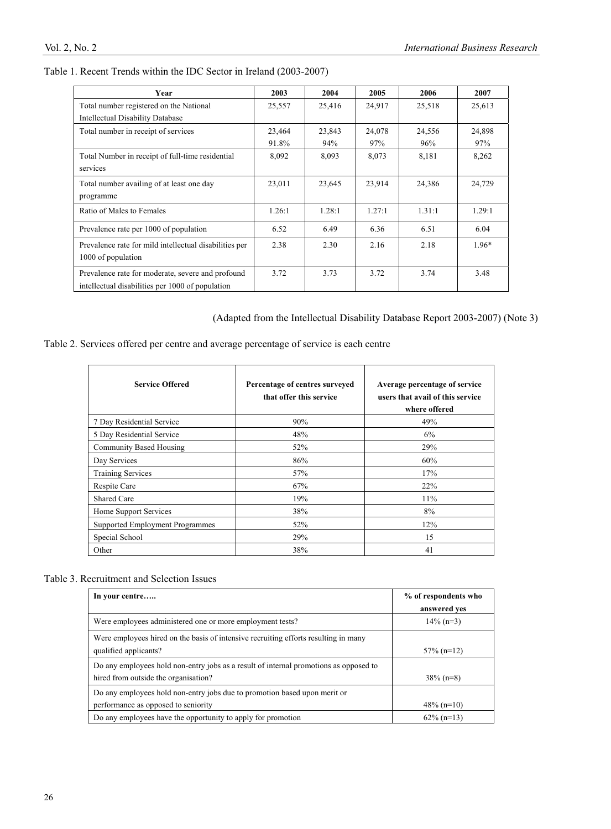|  |  | Table 1. Recent Trends within the IDC Sector in Ireland (2003-2007) |  |  |
|--|--|---------------------------------------------------------------------|--|--|
|--|--|---------------------------------------------------------------------|--|--|

| Year                                                   | 2003   | 2004   | 2005   | 2006   | 2007    |
|--------------------------------------------------------|--------|--------|--------|--------|---------|
| Total number registered on the National                | 25,557 | 25,416 | 24,917 | 25,518 | 25,613  |
| Intellectual Disability Database                       |        |        |        |        |         |
| Total number in receipt of services                    | 23,464 | 23,843 | 24,078 | 24,556 | 24,898  |
|                                                        | 91.8%  | 94%    | 97%    | 96%    | 97%     |
| Total Number in receipt of full-time residential       | 8,092  | 8,093  | 8,073  | 8,181  | 8,262   |
| services                                               |        |        |        |        |         |
| Total number availing of at least one day              | 23,011 | 23,645 | 23,914 | 24,386 | 24,729  |
| programme                                              |        |        |        |        |         |
| Ratio of Males to Females                              | 1.26:1 | 1.28:1 | 1.27:1 | 1.31:1 | 1.29:1  |
| Prevalence rate per 1000 of population                 | 6.52   | 6.49   | 6.36   | 6.51   | 6.04    |
| Prevalence rate for mild intellectual disabilities per | 2.38   | 2.30   | 2.16   | 2.18   | $1.96*$ |
| 1000 of population                                     |        |        |        |        |         |
| Prevalence rate for moderate, severe and profound      | 3.72   | 3.73   | 3.72   | 3.74   | 3.48    |
| intellectual disabilities per 1000 of population       |        |        |        |        |         |

(Adapted from the Intellectual Disability Database Report 2003-2007) (Note 3)

|  |  |  | Table 2. Services offered per centre and average percentage of service is each centre |  |  |  |
|--|--|--|---------------------------------------------------------------------------------------|--|--|--|
|  |  |  |                                                                                       |  |  |  |

| <b>Service Offered</b>                 | Percentage of centres surveyed<br>that offer this service | Average percentage of service<br>users that avail of this service<br>where offered |
|----------------------------------------|-----------------------------------------------------------|------------------------------------------------------------------------------------|
| 7 Day Residential Service              | 90%                                                       | 49%                                                                                |
| 5 Day Residential Service              | 48%                                                       | 6%                                                                                 |
| <b>Community Based Housing</b>         | 52%                                                       | 29%                                                                                |
| Day Services                           | 86%                                                       | 60%                                                                                |
| <b>Training Services</b>               | 57%                                                       | 17%                                                                                |
| Respite Care                           | 67%                                                       | 22%                                                                                |
| Shared Care                            | 19%                                                       | $11\%$                                                                             |
| Home Support Services                  | 38%                                                       | 8%                                                                                 |
| <b>Supported Employment Programmes</b> | 52%                                                       | 12%                                                                                |
| Special School                         | 29%                                                       | 15                                                                                 |
| Other                                  | 38%                                                       | 41                                                                                 |

# Table 3. Recruitment and Selection Issues

| In your centre                                                                                                                | % of respondents who<br>answered ves |
|-------------------------------------------------------------------------------------------------------------------------------|--------------------------------------|
| Were employees administered one or more employment tests?                                                                     | $14\%$ (n=3)                         |
| Were employees hired on the basis of intensive recruiting efforts resulting in many<br>qualified applicants?                  | $57\%$ (n=12)                        |
| Do any employees hold non-entry jobs as a result of internal promotions as opposed to<br>hired from outside the organisation? | $38\%$ (n=8)                         |
| Do any employees hold non-entry jobs due to promotion based upon merit or<br>performance as opposed to seniority              | $48\%$ (n=10)                        |
| Do any employees have the opportunity to apply for promotion                                                                  | $62\%$ (n=13)                        |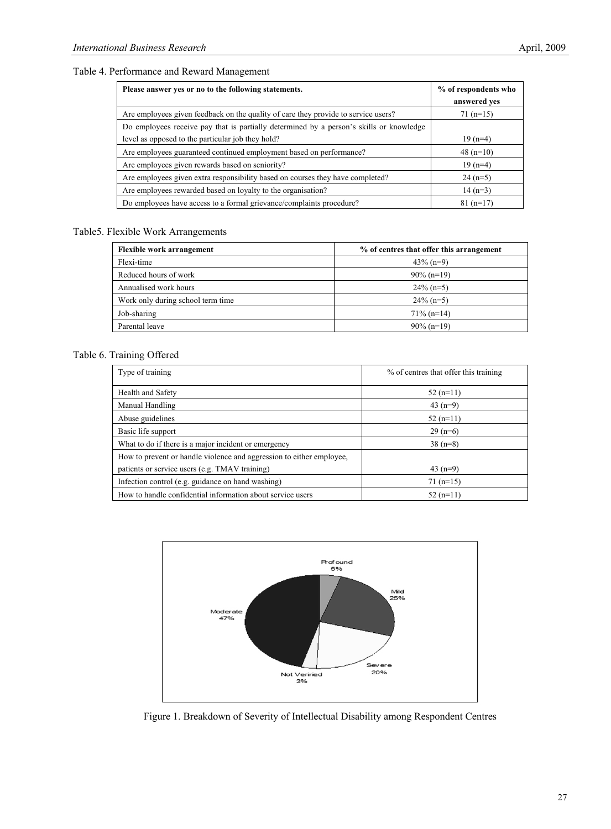#### Table 4. Performance and Reward Management

| Please answer yes or no to the following statements.                                    | % of respondents who<br>answered yes |
|-----------------------------------------------------------------------------------------|--------------------------------------|
| Are employees given feedback on the quality of care they provide to service users?      | $71(n=15)$                           |
| Do employees receive pay that is partially determined by a person's skills or knowledge |                                      |
| level as opposed to the particular job they hold?                                       | $19(n=4)$                            |
| Are employees guaranteed continued employment based on performance?                     | 48 $(n=10)$                          |
| Are employees given rewards based on seniority?                                         | $19(n=4)$                            |
| Are employees given extra responsibility based on courses they have completed?          | $24(n=5)$                            |
| Are employees rewarded based on loyalty to the organisation?                            | $14(n=3)$                            |
| Do employees have access to a formal grievance/complaints procedure?                    | $81(n=17)$                           |

#### Table5. Flexible Work Arrangements

| <b>Flexible work arrangement</b>  | % of centres that offer this arrangement |  |  |
|-----------------------------------|------------------------------------------|--|--|
| Flexi-time                        | $43\%$ (n=9)                             |  |  |
| Reduced hours of work             | $90\%$ (n=19)                            |  |  |
| Annualised work hours             | $24\%$ (n=5)                             |  |  |
| Work only during school term time | $24\%$ (n=5)                             |  |  |
| Job-sharing                       | $71\%$ (n=14)                            |  |  |
| Parental leave                    | $90\%$ (n=19)                            |  |  |

# Table 6. Training Offered

| Type of training                                                     | % of centres that offer this training |
|----------------------------------------------------------------------|---------------------------------------|
| Health and Safety                                                    | $52(n=11)$                            |
| Manual Handling                                                      | 43 $(n=9)$                            |
| Abuse guidelines                                                     | $52(n=11)$                            |
| Basic life support                                                   | $29(n=6)$                             |
| What to do if there is a major incident or emergency                 | $38(n=8)$                             |
| How to prevent or handle violence and aggression to either employee, |                                       |
| patients or service users (e.g. TMAV training)                       | 43 $(n=9)$                            |
| Infection control (e.g. guidance on hand washing)                    | $71(n=15)$                            |
| How to handle confidential information about service users           | $52(n=11)$                            |



Figure 1. Breakdown of Severity of Intellectual Disability among Respondent Centres